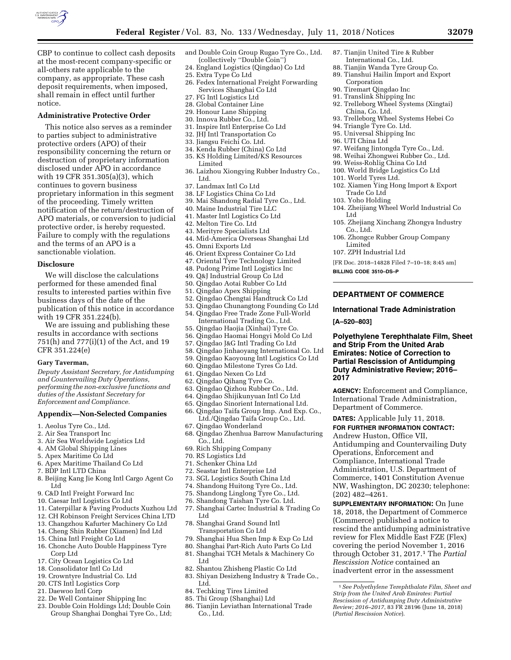

CBP to continue to collect cash deposits at the most-recent company-specific or all-others rate applicable to the company, as appropriate. These cash deposit requirements, when imposed, shall remain in effect until further notice.

### **Administrative Protective Order**

This notice also serves as a reminder to parties subject to administrative protective orders (APO) of their responsibility concerning the return or destruction of proprietary information disclosed under APO in accordance with 19 CFR 351.305(a)(3), which continues to govern business proprietary information in this segment of the proceeding. Timely written notification of the return/destruction of APO materials, or conversion to judicial protective order, is hereby requested. Failure to comply with the regulations and the terms of an APO is a sanctionable violation.

### **Disclosure**

We will disclose the calculations performed for these amended final results to interested parties within five business days of the date of the publication of this notice in accordance with 19 CFR 351.224(b).

We are issuing and publishing these results in accordance with sections 751(h) and 777(i)(1) of the Act, and 19 CFR 351.224(e)

#### **Gary Taverman,**

*Deputy Assistant Secretary, for Antidumping and Countervailing Duty Operations, performing the non-exclusive functions and duties of the Assistant Secretary for Enforcement and Compliance.* 

#### **Appendix—Non-Selected Companies**

- 1. Aeolus Tyre Co., Ltd.
- 2. Air Sea Transport Inc
- 3. Air Sea Worldwide Logistics Ltd
- 4. AM Global Shipping Lines
- 5. Apex Maritime Co Ltd
- 6. Apex Maritime Thailand Co Ltd
- 7. BDP Intl LTD China
- 8. Beijing Kang Jie Kong Intl Cargo Agent Co Ltd
- 9. C&D Intl Freight Forward Inc
- 10. Caesar Intl Logistics Co Ltd
- 11. Caterpillar & Paving Products Xuzhou Ltd
- 12. CH Robinson Freight Services China LTD
- 13. Changzhou Kafurter Machinery Co Ltd
- 14. Cheng Shin Rubber (Xiamen) Ind Ltd
- 15. China Intl Freight Co Ltd 16. Chonche Auto Double Happiness Tyre
- Corp Ltd
- 17. City Ocean Logistics Co Ltd
- 18. Consolidator Intl Co Ltd
- 19. Crowntyre Industrial Co. Ltd 20. CTS Intl Logistics Corp
- 
- 21. Daewoo Intl Corp
- 22. De Well Container Shipping Inc
- 23. Double Coin Holdings Ltd; Double Coin Group Shanghai Donghai Tyre Co., Ltd;
- and Double Coin Group Rugao Tyre Co., Ltd. (collectively ''Double Coin'')
- 24. England Logistics (Qingdao) Co Ltd
- 25. Extra Type Co Ltd
- 26. Fedex International Freight Forwarding Services Shanghai Co Ltd
- 27. FG Intl Logistics Ltd
- 28. Global Container Line
- 29. Honour Lane Shipping
- 30. Innova Rubber Co., Ltd.
- 31. Inspire Intl Enterprise Co Ltd
- 32. JHJ Intl Transportation Co
- 33. Jiangsu Feichi Co. Ltd.
- 34. Kenda Rubber (China) Co Ltd 35. KS Holding Limited/KS Resources
- Limited
- 36. Laizhou Xiongying Rubber Industry Co., Ltd.
- 37. Landmax Intl Co Ltd
- 38. LF Logistics China Co Ltd
- 39. Mai Shandong Radial Tyre Co., Ltd.
- 40. Maine Industrial Tire LLC
- 41. Master Intl Logistics Co Ltd
- 42. Melton Tire Co. Ltd
- 43. Merityre Specialists Ltd
- 44. Mid-America Overseas Shanghai Ltd
- 45. Omni Exports Ltd
- 46. Orient Express Container Co Ltd
- 47. Oriental Tyre Technology Limited
- 48. Pudong Prime Intl Logistics Inc
- 49. Q&J Industrial Group Co Ltd
- 50. Qingdao Aotai Rubber Co Ltd
- 51. Qingdao Apex Shipping
- 52. Qingdao Chengtai Handtruck Co Ltd
- 53. Qingdao Chunangtong Founding Co Ltd
- 54. Qingdao Free Trade Zone Full-World International Trading Co., Ltd. 55. Qingdao Haojia (Xinhai) Tyre Co.
- 56. Qingdao Haomai Hongyi Mold Co Ltd
- 57. Qingdao J&G Intl Trading Co Ltd
- 58. Qingdao Jinhaoyang International Co. Ltd
- 59. Qingdao Kaoyoung Intl Logistics Co Ltd
- 60. Qingdao Milestone Tyres Co Ltd.
- 61. Qingdao Nexen Co Ltd
- 62. Qingdao Qihang Tyre Co.
- 63. Qingdao Qizhou Rubber Co., Ltd.
- 64. Qingdao Shijikunyuan Intl Co Ltd
- 65. Qingdao Sinorient International Ltd.
- 66. Qingdao Taifa Group Imp. And Exp. Co., Ltd./Qingdao Taifa Group Co., Ltd.
- 67. Qingdao Wonderland
- 68. Qingdao Zhenhua Barrow Manufacturing Co., Ltd.
- 69. Rich Shipping Company
- 70. RS Logistics Ltd
- 71. Schenker China Ltd
- 72. Seastar Intl Enterprise Ltd
- 73. SGL Logistics South China Ltd
- 74. Shandong Huitong Tyre Co., Ltd.
- 75. Shandong Linglong Tyre Co., Ltd.
- 76. Shandong Taishan Tyre Co. Ltd.
	- 77. Shanghai Cartec Industrial & Trading Co Ltd
	- 78. Shanghai Grand Sound Intl Transportation Co Ltd
	- 79. Shanghai Hua Shen Imp & Exp Co Ltd
	- 80. Shanghai Part-Rich Auto Parts Co Ltd
	- 81. Shanghai TCH Metals & Machinery Co Ltd
	- 82. Shantou Zhisheng Plastic Co Ltd
	- 83. Shiyan Desizheng Industry & Trade Co., Ltd.
	- 84. Techking Tires Limited
	- 85. Thi Group (Shanghai) Ltd
	- 86. Tianjin Leviathan International Trade Co., Ltd.

87. Tianjin United Tire & Rubber International Co., Ltd.

89. Tianshui Hailin Import and Export

92. Trelleborg Wheel Systems (Xingtai)

93. Trelleborg Wheel Systems Hebei Co

97. Weifang Jintongda Tyre Co., Ltd. 98. Weihai Zhongwei Rubber Co., Ltd. 99. Weiss-Rohlig China Co Ltd 100. World Bridge Logistics Co Ltd

102. Xiamen Ying Hong Import & Export

104. Zheijiang Wheel World Industrial Co

105. Zhejiang Xinchang Zhongya Industry

106. Zhongce Rubber Group Company

[FR Doc. 2018–14828 Filed 7–10–18; 8:45 am]

**DEPARTMENT OF COMMERCE International Trade Administration** 

**Polyethylene Terephthalate Film, Sheet and Strip From the United Arab Emirates: Notice of Correction to Partial Rescission of Antidumping Duty Administrative Review; 2016–** 

**AGENCY:** Enforcement and Compliance, International Trade Administration,

Antidumping and Countervailing Duty

**SUPPLEMENTARY INFORMATION:** On June 18, 2018, the Department of Commerce (Commerce) published a notice to rescind the antidumping administrative review for Flex Middle East FZE (Flex) covering the period November 1, 2016 through October 31, 2017.1 The *Partial Rescission Notice* contained an inadvertent error in the assessment

Department of Commerce. **DATES:** Applicable July 11, 2018. **FOR FURTHER INFORMATION CONTACT:**  Andrew Huston, Office VII,

Operations, Enforcement and Compliance, International Trade Administration, U.S. Department of Commerce, 1401 Constitution Avenue NW, Washington, DC 20230; telephone:

(202) 482–4261.

1*See Polyethylene Terephthalate Film, Sheet and Strip from the United Arab Emirates: Partial Rescission of Antidumping Duty Administrative Review; 2016–2017*, 83 FR 28196 (June 18, 2018)

(*Partial Rescission Notice*).

88. Tianjin Wanda Tyre Group Co.

Corporation 90. Tiremart Qingdao Inc 91. Translink Shipping Inc

China, Co. Ltd.

101. World Tyres Ltd.

Trade Co Ltd 103. Yoho Holding

Ltd

Co., Ltd.

Limited 107. ZPH Industrial Ltd

**[A–520–803]** 

**2017** 

**BILLING CODE 3510–DS–P** 

94. Triangle Tyre Co. Ltd. 95. Universal Shipping Inc 96. UTI China Ltd